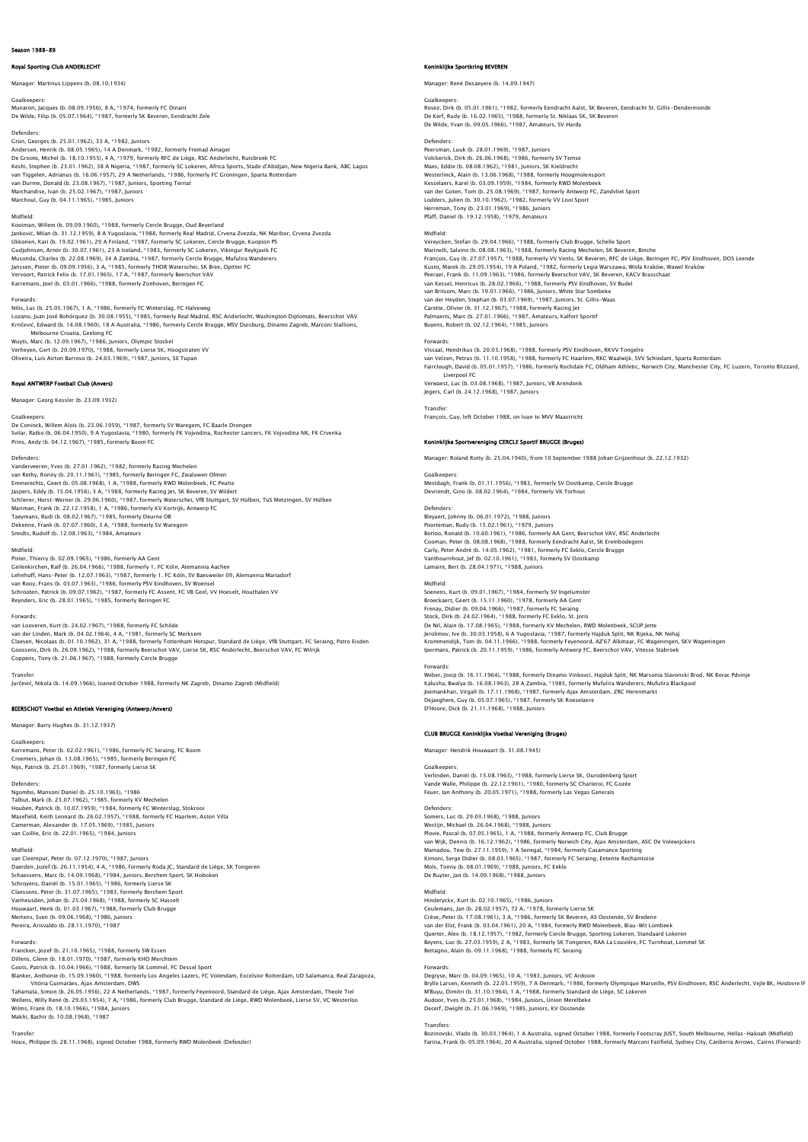# Royal Sporting Club ANDERLECHT

Manager: Martinus Lippens (b. 08.10.1934)

Goalkeepers: Munaron, Jacques (b. 08.09.1956), 8 A, \*1974, formerly FC Dinant De Wilde, Filip (b. 05.07.1964), \*1987, formerly SK Beveren, Eendracht Zele

Defenders: Grün, Georges (b. 25.01.1962), 33 A, \*1982, Juniors Andersen, Henrik (b. 08.05.1965), 14 A Denmark, \*1982, formerly Fremad Amager<br>De Croote, Michel (b. 18.10.1955), 4 A, \*1979, formerly RFC de Liège, RSC Anderiecht, Ruisbroek FC<br>Reshi, Stephen (b. 23.01.1962), 38 A Nigeria, Marchoul, Guy (b. 04.11.1965), \*1985, Juniors

## Midfield:

Kooiman, Willem (b. 09.09.1960), \*1988, formerly Cercle Brugge, Oud Beyerland Janković, Milan (b. 31.12.1959), 8 A Yugoslavia, \*1988, formerly Real Madrid, Crvena Zvezda, NK Maribor, Crvena Zvezda Ukkonen, Kari (b. 19.02.1961), 29 A Finland, \* 1987, formerly SC Lokeren, Cercle Brugge, Kuopion PS<br>Gudjohnsen, Arnór (b. 30.07.1961), 23 A Iceland, \*1983, formerly SC Lokeren, Vikingur Reykjavik FC<br>Musonda, Charles (b. 22 Karremans, Joel (b. 03.01.1966), \*1988, formerly Zonhoven, Beringen FC

Forwards:<br>Nilis, Luc (b. 25.05.1967), 1 A, \*1986, formerly FC Winterslag, FC Halveweg<br>Lozano, Juan José Bohórquez (b. 30.08.1955), \*1985, formerly Real Madrid, RSC Anderlecht, Washington Diplomats, Beerschot VAV Krnčević, Edward (b. 14.08.1960), 18 A Australia, \*1986, formerly Cercle Brugge, MSV Duisburg, Dinamo Zagreb, Marconi Stallions, Melbourne Croatia, Geelong FC

Wuyts, Marc (b. 12.09.1967), \*1986, Juniors, Olympic Stockel<br>Verheyen, Gert (b. 20.09.1970), \*1988, formerly Lierse SK, Hoogstraten VV<br>Oliveira, Luís Airton Barroso (b. 24.03.1969), \*1987, Juniors, SE Tupan

## Royal ANTWERP Football Club (Anvers)

Manager: Georg Kessler (b. 23.09.1932)

## Goalkeeper

De Coninck, Willem Alois (b. 23.06.1959), \*1987, formerly SV Waregem, FC Baarle Drongen<br>Svilar, Ratko (b. 06.04.1950), 9 A Yugoslavia, \*1980, formerly FK Vojvodina, Rochester Lancers, FK Vojvodina NK, FK Crvenka<br>Prins, And

### Defenders:

Vanderveeren, Yves (b. 27.01.1962), \*1982, formerly Racing Mechelen van Rethy, Ronny (b. 20.11.1961), \*1985, formerly Beringen FC, Zwaluwen Olmen<br>Emmerechts, Geert (b. 05.08.1968), 1 A, \*1988, formerly RWD Molenbeek, FC Peutie<br>Jaspers, Eddy (b. 15.04.1956), 3 A, \*1988, formerly Racing Jet, Mariman, Frank (b. 22.12.1958), 1 A, \*1986, formerly KV Kortrijk, Antwerp FC Taeymans, Rudi (b. 08.02.1967), \*1985, formerly Deurne OB Dekenne, Frank (b. 07.07.1960), 3 A, \*1988, formerly SV Waregem Smidts, Rudolf (b. 12.08.1963), \*1984, Amateurs

### Midfield:

Pister, Thierry (b. 02.09.1965), \*1986, formerly AA Gent Geilenkirchen, Ralf (b. 26.04.1966), \*1988, formerly 1. FC Köln, Alemannia Aachen Lehnhoff, Hans-Peter (b. 12.07.1963), \*1987, formerly 1. FC Köln, SV Baesweiler 09, Alemannia Mariadorf van Rooy, Frans (b. 03.07.1963), \*1986, formerly PSV Eindhoven, SV Woensel Schrooten, Patrick (b. 09.07.1962), \*1987, formerly FC Assent, FC VB Geel, VV Hoeselt, Houthalen VV Reynders, Eric (b. 28.01.1965), \*1985, formerly Beringen FC

# Forwards:

van Looveren, Kurt (b. 24.02.1967), \*1988, formerly FC Schilde van der Linden, Mark (b. 04.02.1964), 4 A, \*1981, formerly SC Merksem<br>Claesen, Nicolaas (b. 01.10.1962), 31 A, \*1988, formerly Tottenham Hotspur, Standard de Liège, VfB Stuttgart, FC Seraing, Patro Eisden<br>Goossens, Dirk (b Coppens, Tony (b. 21.06.1967), \*1988, formerly Cercle Brugge

Transfer:

Jurčević, Nikola (b. 14.09.1966), loaned October 1988, formerly NK Zagreb, Dinamo Zagreb (Midfield)

# BEERSCHOT Voetbal en Atletiek Vereniging (Antwerp/Anvers)

Manager: Barry Hughes (b. 31.12.1937)

# oalkeepers

Kerremans, Peter (b. 02.02.1961), \*1986, formerly FC Seraing, FC Boom<br>Creemers, Johan (b. 13.08.1965), \*1985, formerly Beringen FC<br>Nijs, Patrick (b. 25.01.1969), \*1987, formerly Lierse SK

Defenders:<br>Ngombo, Mansoni Daniel (b. 25.10.1963), \*1986<br>Talbut, Mark (b. 23.07.1962), \*1985, formerly KV Mechelen<br>Houben, Patrick (b. 10.07.1959), \*1984, formerly FC Winterslag, Stokrooi Masefield, Keith Leonard (b. 26.02.1957), \*1988, formerly FC Haarlem, Aston Villa<br>Camerman, Alexander (b. 17.05.1969), \*1985, Juniors<br>van Coillie, Eric (b. 22.01.1965), \*1984, Juniors

Midfield:<br>Van Cleemput, Peter (b. 07.12.1970), \*1987, Juniors<br>Daerden, Jozef (b. 26.11.1954), 4 A, \*1986, formerly Roda JC, Standard de Liège, SK Tongeren<br>Schaessens, Marc (b. 14.09.1965), \*1984, Juniors, Berchem Sport, SK Vanheusden, Johan (b. 25.04.1968), \*1988, formerly SC Hasselt Houwaart, Henk (b. 01.03.1967), \*1988, formerly Club Brugge Mertens, Sven (b. 09.06.1968), \*1986, Juniors Pereira, Arisvaldo (b. 28.11.1970), \*1987

Forwards:<br>Francken, Jozef (b. 21.10.1965), \*1988, formerly SW Essen<br>Dillens, Glenn (b. 18.01.1970), \*1987, formerly KHO Merchtem<br>Glots, Patrick (b. 10.04.1966), \*1988, formerly SK Lommel, FC Dessel Sport<br>Blanker, Antholie

Tahamata, Simon (b. 26.05.1956), 22 A Netherlands, \*1987, formerly Feyenoord, Standard de Liège, Ajax Amsterdam, Theole Tiel<br>Wellens, Willy René (b. 29.03.1954), 7 A, \*1986, formerly Club Brugge, Standard de Liège, RWD Mol

# Transfer:

Houx, Philippe (b. 28.11.1968), signed October 1988, formerly RWD Molenbeek (Defender)

## Koninklijke Sportkring BEVEREN

Manager: René Desaeyere (b. 14.09.1947)

### Goalkeepers:

Rosez, Dirk (b. 05.01.1961), \*1982, formerly Eendracht Aalst, SK Beveren, Eendracht St. Gillis-Dendermonde De Kerf, Rudy (b. 16.02.1965), \*1988, formerly St. Niklaas SK, SK Beveren De Wilde, Yvan (b. 09.05.1966), \*1987, Amateurs, SV Hardy

### Defenders:

Peersman, Luuk (b. 28.01.1969), \*1987, Juniors Volckerick, Dirk (b. 26.06.1968), \*1986, formerly SV Temse Maes, Eddie (b. 08.08.1962), \*1981, Juniors, SK Kieldrecht Westerlinck, Alain (b. 13.06.1968), \*1988, formerly Hoogmolensport Kesselaers, Karel (b. 03.09.1959), \*1984, formerly RWD Molenbeek van der Goten, Tom (b. 25.08.1969), \*1987, formerly Antwerp FC, Zandvliet Sport Lodders, Julien (b. 30.10.1962), \*1982, formerly VV Looi Sport Herreman, Tony (b. 23.01.1969), \*1986, Juniors Pfaff, Daniel (b. 19.12.1958), \*1979, Amateurs

Midfield:

Vereycken, Stefan (b. 29.04.1966), \*1988, formerly Club Brugge, Schelle Sport Marinelli, Salvino (b. 08.08.1963), \*1988, formerly Racing Mechelen, SK Beveren, Binche<br>François, Guy (b. 27.07.1957), \*1988, formerly VV Venlo, SK Beveren, RFC de Liège, Beringen FC, PSV Eindhoven, DOS Leende<br>Kusto, Marek van Kessel, Henricus (b. 28.02.1966), \*1988, formerly PSV Eindhoven, SV Budel van Britsom, Marc (b. 19.01.1966), \*1986, Juniors, White Star Sombeke<br>van der Heyden, Stephan (b. 03.07.1969), \*1987, Juniors, St. Gillis–Waas<br>Carette, Olivier (b. 31.12.1967), \*1988, formerly Racing Jet<br>Palmaerts, Marc (b Buyens, Robert (b. 02.12.1964), \*1985, Juniors

Forwards:<br>Viscaal, Hendrikus (b. 20.03.1968), \*1988, formerly PSV Eindhoven, RKVV Tongelre<br>van Velzen, Petrus (b. 11.10.1958), \*1988, formerly FC Haarlem, RKC Waalwijk, SVV Schiedam, Sparta Rotterdam<br>Fairclough, David (b. Liverpool FC Verwaest, Luc (b. 03.08.1968), \*1987, Juniors, VB Arendonk Jegers, Carl (b. 24.12.1968), \*1987, Juniors

## **Transfer**

François, Guy, left October 1988, on loan to MVV Maastricht

# inklijke Sportvereniging CERCLE Sportif BRUGGE (Bruges)

Manager: Roland Rotty (b. 25.04.1940), from 10 September 1988 Johan Grijzenhout (b. 22.12.1932)

Goalkeepers: Mestdagh, Frank (b. 01.11.1956), \*1983, formerly SV Oostkamp, Cercle Brugge Devriendt, Gino (b. 08.02.1964), \*1984, formerly VK Torhout

Defenders: Bleyaert, Johnny (b. 06.01.1972), \*1988, Juniors Poorteman, Rudy (b. 15.02.1961), \*1979, Juniors<br>Borloo, Ronald (b. 10.60.1961), \*1986, formerly AA Gent, Beerschot VAV, RSC Anderlecht<br>Cooman, Peter (b. 08.08.1968), \*1988, formerly Eendracht Aalst, SK Erembodegem Carly, Peter André (b. 14.05.1962), \*1981, formerly FC Eeklo, Cercle Brugge Vanthournhout, Jef (b. 02.10.1961), \*1983, formerly SV Oostkamp Lamaire, Bert (b. 28.04.1971), \*1988, Juniors

Midfield:<br>Soenens, Kurt (b. 09.01.1967). \*1984. formerly SV Ingelumste Soenens, Kurt (b. 09.01.1967), \*1984, formerly SV Ingelumster<br>Broeckaert, Geert (b. 15.11.1960), \*1978, formerly AA Gent<br>Frenay, Didier (b. 09.04.1966), \*1987, formerly FC Sealang<br>Stock, Dirk (b. 24.02.1964), \*1988, former Krommendijk, Tom (b. 04.11.1966), \*1988, formerly Feyenoord, AZ'67 Alkmaar, FC Wageningen, SKV Wageningen Ipermans, Patrick (b. 20.11.1959), \*1986, formerly Antwerp FC, Beerschot VAV, Vitesse Stabroek

Forwards: Weber, Josip (b. 16.11.1964), \*1988, formerly Dinamo Vinkovci, Hajduk Split, NK Marsonia Slavonski Brod, NK Borac Pdvinje Kalusha, Bwalya (b. 16.08.1963), 28 A Zambia, \*1985, formerly Mufulira Wanderers, Mufulira Blackpool Joemankhan, Virgall (b. 17.11.1968), \*1987, formerly Ajax Amsterdam, ZRC Herenmarkt Dejaeghere, Guy (b. 05.07.1965), \*1987, formerly SK Roeselaere D'Hoore, Dick (b. 21.11.1968), \*1988, Juniors

## CLUB BRUGGE Koninklijke Voetbal Vereniging (Bruges)

Manager: Hendrik Houwaart (b. 31.08.1945)

## Goalkeepers:

Verlinden, Daniël (b. 15.08.1963), \*1988, formerly Lierse SK, Ourodenberg Sport<br>Vande Walle, Philippe (b. 22.12.1961), \*1980, formerly SC Charleroi, FC Gozée<br>Feuer, Ian Anthony (b. 20.05.1971), \*1988, formerly Las Vegas Ge

# Defenders:

Somers, Luc (b. 29.03.1968), \*1988, Juniors<br>Westijn, Michael (b. 26.04.1968), \*1988, Juniors<br>Plovie, Pascal (b. 07.05.1965), 1 A, \*1988, formerly Antwerp FC, Club Brugge<br>van Wijk, Dennis (b. 16.12.1959), 1 A Senegal, \*1984 Kimoni, Serge Didier (b. 08.03.1965), \*1987, formerly FC Seraing, Entente Rechaintoise<br>Mols, Tonny (b. 08.01.1969), \*1988, Juniors, FC Eeklo<br>De Ruyter, Jan (b. 14.09.1968), \*1988, Juniors

# Midfield:

Hinderyckx, Kurt (b. 02.10.1965), \*1986, Juniors Ceulemans, Jan (b. 28.02.1957), 72 A, \*1978, formerly Lierse SK<br>Crève, Peter (b. 17.08.1961), 3 A, \*1986, formerly SK Beveren, AS Oostende, SV Bredene<br>van der Elst, Frank (b. 03.04.1961), 20 A, \*1984, formerly RWD Molenbee Bettagno, Alain (b. 09.11.1968), \*1988, formerly FC Seraing

Forwards: Degryse, Marc (b. 04.09.1965), 10 A, \*1983, Juniors, VC Ardooie Brylle Larsen, Kenneth (b. 22.05.1959), 7 A Denmark, \*1986, formerly Olympique Marseille, PSV Eindhoven, RSC Anderlecht, Vejle BK, Hvidovre IF M'Buyu, Dimitri (b. 31.10.1964), 1 A, \*1988, formerly Standard de Liège, SC Lokerer<br>Audoor, Yves (b. 25.01.1968), \*1984, Juniors, Union Merelbeke<br>Decerf, Dwight (b. 21.06.1969), \*1985, Juniors, KV Oostende

Transfers:<br>Bozinovski, Vlado (b. 30.03.1964), 1 A Australia, signed October 1988, formerly Footscray JUST, South Melbourne, Hellas-Hakoah (Midfield)<br>Farina, Frank (b. 05.09.1964), 20 A Australia, signed October 1988, forme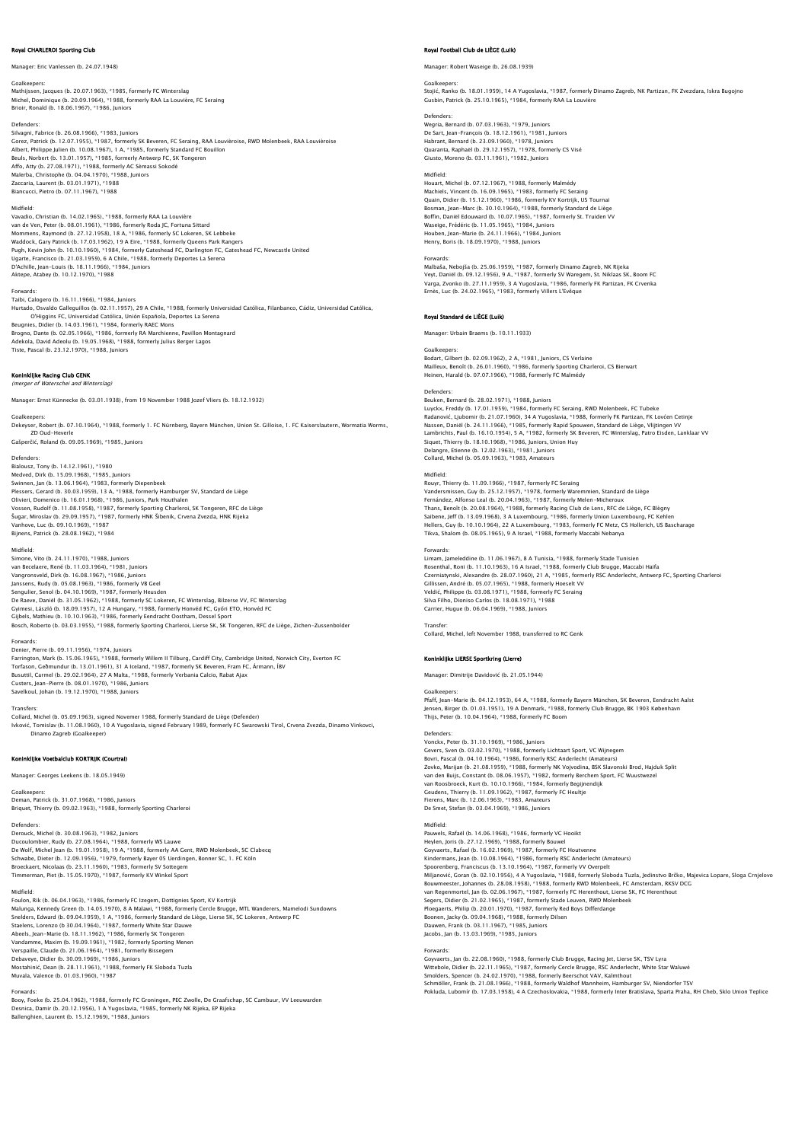# Royal CHARLEROI Sporting Club

Manager: Eric Vanlessen (b. 24.07.1948)

Goalkeepers: Mathijssen, Jacques (b. 20.07.1963), \*1985, formerly FC Winterslag Michel, Dominique (b. 20.09.1964), \*1988, formerly RAA La Louvière, FC Seraing Brioir, Ronald (b. 18.06.1967), \*1986, Juniors

Defenders:<br>Silvagni, Fabrice (b. 26.08.1966), \*1983, Juniors<br>Gorez, Patrick (b. 12.07.1955), \*1987, formerly SK Beveren, FC Seraing, RAA Louvièroise, RWD Molenbeek, RAA Louvièroise Albert, Philippe Julien (b. 10.08.1967), 1 A, \*1985, formerly Standard FC Bouillon Beuls, Norbert (b. 13.01.1957), \*1985, formerly Antwerp FC, SK Tongeren<br>Affo, Atty (b. 27.08.1971), \*1988, formerly AC Sèmassi Sokodé<br>Malerba, Christophe (b. 04.04.1970), \*1988, Juniors<br>Zaccaria, Laurent (b. 03.01.1971), \* Biancucci, Pietro (b. 07.11.1967), \*1988

Midfield:<br>Vavadio, Christian (b. 14.02.1965), \*1988, formerly RAA La Louvière<br>van de Ven, Peter (b. 08.01.1961), \*1986, formerly Roda JC, Fortuna Sittard<br>Mommens, Raymond (b. 27.12.1958), 18 A, \*1986, formerly SC Lokeren, Waddock, Gary Patrick (b. 17.03.1962), 19 A Eire, \*1988, formerly Queens Park Rangers<br>Pugh, Kevin John (b. 10.10.1960), \*1984, formerly Gateshead FC, Darlington FC, Gateshead FC, Newcastle United<br>Ugarte, Francisco (b. 21.0

Forwards:<br>Taibi, Calogero (b. 16.11.1966), \*1984, Juniors<br>Hurtado, Osvaldo Galleguillos (b. 02.11.1957), 29 A Chile, \*1988, formerly Universidad Católica, Filanbanco, Cádiz, Universidad Católica,<br>Hurtado, O'Hiqqins FC, Uni Beugnies, Didier (b. 14.03.1961), \*1984, formerly RAEC Mons Brogno, Dante (b. 02.05.1966), \*1986, formerly RA Marchienne, Pavillon Montagnard<br>Adekola, David Adeolu (b. 19.05.1968), \*1988, formerly Julius Berger Lagos<br>Tiste, Pascal (b. 23.12.1970), \*1988, Juniors

# **Koninklijke Racing Club GENK**<br>(merger of Waterschei and Winterslag)

Manager: Ernst Künnecke (b. 03.01.1938), from 19 November 1988 Jozef Vliers (b. 18.12.1932)

Goalkeepers: Dekeyser, Robert (b. 07.10.1964), \*1988, formerly 1. FC Nürnberg, Bayern München, Union St. Gilloise, 1. FC Kaiserslautern, Wormatia Worms, ZD Oud-Heverle Gašperčić, Roland (b. 09.05.1969), \*1985, Juniors

## Defenders:

Bialousz, Tony (b. 14.12.1961), \*1980 Medved, Dirk (b. 15.09.1968), \*1985, Juniors Swinnen, Jan (b. 13.06.1964), \*1983, formerly Diepenbeek Plessers, Gerard (b. 30.03.1959), 13 A, \*1988, formerly Hamburger SV, Standard de Liège Olivieri, Domenico (b. 16.01.1968), \*1986, Juniors, Park Houthalen Vossen, Rudolf (b. 11.08.1958), \*1987, formerly Sporting Charleroi, SK Tongeren, RFC de Liège Šugar, Miroslav (b. 29.09.1957), \*1987, formerly HNK Šibenik, Crvena Zvezda, HNK Rijeka Vanhove, Luc (b. 09.10.1969), \*1987 Bijnens, Patrick (b. 28.08.1962), \*1984

### Midfield:

Simone, Vito (b. 24.11.1970), \*1988, Juniors van Becelaere, René (b. 11.03.1964), \*1981, Juniors Vangronsveld, Dirk (b. 16.08.1967), \*1986, Juniors Janssens, Rudy (b. 05.08.1963), \*1986, formerly VB Geel Sengulier, Senol (b. 04.10.1969), \*1987, formerly Heusden De Raeve, Daniël (b. 31.05.1962), \*1988, formerly SC Lokeren, FC Winterslag, Bilzerse VV, FC Winterslag<br>Gyimesi, László (b. 18.09.1957), 12 A Hungary, \*1988, formerly Honvéd FC, Győri ETO, Honvéd FC<br>Gijbes, Mathieu (b. 10.

Forwards: Denier, Pierre (b. 09.11.1956), \*1974, Juniors Farrington, Mark (b. 15.06.1965), \*1988, formerly Willem II Tilburg, Cardiff City, Cambridge United, Norwich City, Everton FC<br>Torfason, Geðmundur (b. 13.01.1961), 31 A Iceland, \*1987, formerly SK Beveren, Fram FC, Ármann, Custers, Jean-Pierre (b. 08.01.1970), \*1986, Juniors Savelkoul, Johan (b. 19.12.1970), \*1988, Juniors

Transfers:<br>Collard, Michel (b. 05.09.1963), signed Novemer 1988, formerly Standard de Liège (Defender)<br>Ivković, Tomislav (b. 11.08.1960), 10 A Yuqoslavia, signed February 1989, formerly FC Swarowski Tirol, Crvena Zvezda, D Dinamo Zagreb (Goalkeeper)

# Koninklijke Voetbalclub KORTRIJK (Courtrai)

Manager: Georges Leekens (b. 18.05.1949)

Goalkeepers: Deman, Patrick (b. 31.07.1968), \*1986, Juniors Briquet, Thierry (b. 09.02.1963), \*1988, formerly Sporting Charleroi

Defenders:<br>Derouck, Michel (b. 30.08.1963), \*1982, Juniors<br>Ducoulombier, Rudy (b. 27.08.1964), \*1988, formerly WS Lauwe<br>De Wolf, Michel Jean (b. 19.01.1958), 19 A, \*1988, formerly AA Gent, RWD Molenbeek, SC Clabecq Schwabe, Dieter (b. 12.09.1956), \*1979, formerly Bayer 05 Uerdingen, Bonner SC, 1. FC Köln<br>Broeckaert, Nicolaas (b. 23.11.1960), \*1983, formerly SV Sottegem<br>Timmerman, Piet (b. 15.05.1970), \*1987, formerly KV Winkel Sport

Midfield:<br>Foulon, Rik (b. 06.04.1963), \*1986, formerly FC Izegem, Dottignies Sport, KV Kortrijk<br>Malunga, Kennedy Green (b. 14.05.1970), 8 A Malawi, \*1988, formerly Cercle Brugge, MTL Wanderers, Mamelodi Sundowns<br>Sneleers, Verspaille, Claude (b. 21.06.1964), \*1981, formerly Bissegem<br>Debaveye, Didier (b. 30.09.1969), \*1986, Juniors<br>Mostahinić, Dean (b. 28.11.1961), \*1988, formerly FK Sloboda Tuzla<br>Muvala, Valence (b. 01.03.1960), \*1987

Forwards:<br>Booy, Foeke (b. 25.04.1962), \*1988, formerly FC Groningen, PEC Zwolle, De Graafschap, SC Cambuur, VV Leeuwarden<br>Desnica, Damir (b. 20.12.1956), 1 A Yugoslavia, \*1985, formerly NK Rijeka, EP Rijeka<br>Ballenqhien, La

# Royal Football Club de LIÈGE (Luik)

Manager: Robert Waseige (b. 26.08.1939)

# Goalkeepers: Stojić, Ranko (b. 18.01.1959), 14 A Yugoslavia, \*1987, formerly Dinamo Zagreb, NK Partizan, FK Zvezdara, Iskra Bugojno Gusbin, Patrick (b. 25.10.1965), \*1984, formerly RAA La Louvière

Defenders: Wegria, Bernard (b. 07.03.1963), \*1979, Juniors De Sart, Jean-François (b. 18.12.1961), \*1981, Juniors Habrant, Bernard (b. 23.09.1960), \*1978, Juniors Quaranta, Raphaël (b. 29.12.1957), \*1978, formerly CS Visé Giusto, Moreno (b. 03.11.1961), \*1982, Juniors

Midfield: Houart, Michel (b. 07.12.1967), \*1988, formerly Malmédy Machiels, Vincent (b. 16.09.1965), \*1983, formerly FC Seraing Quain, Didier (b. 15.12.1960), \*1986, formerly KV Kortrijk, US Tournai<br>Bosman, Jean-Marc (b. 30.10.1964), \*1988, formerly Standard de Liège<br>Boffin, Daniël Edouward (b. 10.07.1965), \*1987, formerly St. Truiden VV<br>Waseige, F Henry, Boris (b. 18.09.1970), \*1988, Juniors

Forwards: Malbaša, Nebojša (b. 25.06.1959), \*1987, formerly Dinamo Zagreb, NK Rijeka Veyt, Daniël (b. 09.12.1956), 9 A, \*1987, formerly SV Waregem, St. Niklaas SK, Boom FC Varga, Zvonko (b. 27.11.1959), 3 A Yugoslavia, \*1986, formerly FK Partizan, FK Crvenka Ernès, Luc (b. 24.02.1965), \*1983, formerly Villers L'Evêque

# Royal Standard de LIÈGE (Luik)

Manager: Urbain Braems (b. 10.11.1933)

Goalkeepers: Bodart, Gilbert (b. 02.09.1962), 2 A, \*1981, Juniors, CS Verlaine Mailleux, Benoît (b. 26.01.1960), \*1986, formerly Sporting Charleroi, CS Bierwart Heinen, Harald (b. 07.07.1966), \*1988, formerly FC Malmédy

Defenders: Beuken, Bernard (b. 28.02.1971), \*1988, Juniors Luyckx, Freddy (b. 17.01.1959), \*1984, formerly FC Seraing, RWD Molenbeek, FC Tubeke Radanović, Ljubomir (b. 21.07.1960), 34 A Yugoslavia, \*1988, formerly FK Partizan, FK Lovćen Cetinje<br>Nassen, Daniël (b. 24.11.1966), \*1985, formerly Rapid Spouwen, Standard de Liège, Vlijtingen VV Lambrichts, Paul (b. 16.10.1954), S A, \*1982, formerly SK Beveren, FC Winterslag, Patro Eisden, Lanklaar Vv<br>Siquet, Thierry (b. 18.10.1968), \*1986, Juniors, Union Huy<br>Delangre, Etienne (b. 12.02.1963), \*1981, Juniors<br>Colla

# Midfield:

Rouyr, Thierry (b. 11.09.1966), \*1987, formerly FC Seraing Vandersmissen, Guy (b. 25.12.1957), \*1978, formerly Waremmien, Standard de Liège Fernández, Alfonso Leal (b. 20.04.1963), \*1987, formerly Melen-Micheroux Thans, Benoît (b. 20.08.1964), \*1988, formerly Racing Club de Lens, RFC de Liège, FC Biègny<br>Saibene, Jeff (b. 13.09.1968), 3 A Luxembourg, \*1986, formerly Union Luxembourg, FC Kehlen<br>Hellers, Guy (b. 10.10.1964), 22 A Luxe

Forwards:<br>Limam, Jameleddine (b. 11.06.1967), 8 A Tunisia, \*1988, formerly Stade Tunisien<br>Rosenthal, Roni (b. 11.10.1963), 16 A Israel, \*1988, formerly Club Brugge, Maccabi Haifa<br>Czerniatynski, Alexandre (b. 28.07.1960), 2 Gillissen, André (b. 05.07.1965), \*1988, formerly Hoeselt VV Veldić, Philippe (b. 03.08.1971), \*1988, formerly FC Seraing Silva Filho, Dioniso Carlos (b. 18.08.1971), \*1988 Carrier, Hugue (b. 06.04.1969), \*1988, Juniors

# Transfer: Collard, Michel, left November 1988, transferred to RC Genk

Koninklijke LIERSE Sportkring (Lierre)

Manager: Dimitrije Davidović (b. 21.05.1944)

Goalkeepers:<br>Pfaff, Jean-Marie (b. 04.12.1953), 64 A, \*1988, formerly Bayern München, SK Beveren, Eendracht Aalst<br>Jensen, Birger (b. 01.03.1951), 19 A Denmark, \*1988, formerly Club Brugge, BK 1903 København<br>Thiis, Peter (b

## Defenders:

Vonckx, Peter (b. 31.10.1969), \*1986, Juniors<br>Gevers, Sven (b. 03.02.1970), \*1988, formerly Lichtaart Sport, VC Wijnegem<br>Bovri, Pascal (b. 04.10.1964), \*1986, formerly RSC Anderlecht (Amateurs)<br>Zovko, Marijan (b. 21.08.195 van den Buijs, Constant (b. 08.06.1957), † 1982, formerly Berchem Sport, FC Wuustwezel<br>van Roosbroeck, Kurt (b. 10.10.1966), † 1984, formerly Begijnendijk<br>Geudens, Thierry (b. 11.09.1962), † 1987, formerly FC Heultje<br>Fiere

Midfield: Pauwels, Rafaël (b. 14.06.1968), \*1986, formerly VC Hooikt Heylen, Joris (b. 27.12.1969), \*1988, formerly Bouwel Goyvaerts, Rafael (b. 16.02.1969), \*1987, formerly FC Houtvenne Kindermans, Jean (b. 10.08.1964), † 1986, formerly RSC Anderlecht (Amateurs)<br>Spoorenberg, Franciscus (b. 13.10.1964), † 1987, formerly VV Overpelt<br>Miljanović, Goran (b. 02.10.1956), 4 A Yugoslavia, \*1988, formerly Sloboda Segers, Didler (b. 21.02.1965), \*1987, formerly Stade Leuven, RWD Molenbeek<br>Ploegaerts, Philip (b. 20.01.1970), \*1987, formerly Red Boys Differdange<br>Boonen, Jacky (b. 09.04.1968), \*1988, formerly Dilsen<br>Dauwen, Frank (b. 0

Forwards:<br>Goyvaerts, Jan (b. 22.08.1960), \*1988, formerly Club Brugge, Racing Jet, Lierse SK, TSV Lyra<br>Wittebole, Didier (b. 22.11.1965), \*1987, formerly Cercle Brugge, RSC Anderlecht, White Star Waluwé<br>Smolders, Spencer ( Pokluda, Lubomír (b. 17.03.1958), 4 A Czechoslovakia, \*1988, formerly Inter Bratislava, Sparta Praha, RH Cheb, Sklo Union Teplice